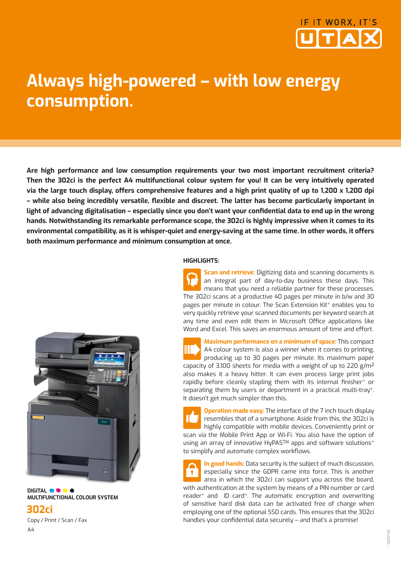

# **Always high-powered – with low energy consumption.**

**Are high performance and low consumption requirements your two most important recruitment criteria? Then the 302ci is the perfect A4 multifunctional colour system for you! It can be very intuitively operated via the large touch display, offers comprehensive features and a high print quality of up to 1,200 x 1,200 dpi – while also being incredibly versatile, flexible and discreet. The latter has become particularly important in light of advancing digitalisation – especially since you don't want your confidential data to end up in the wrong hands. Notwithstanding its remarkable performance scope, the 302ci is highly impressive when it comes to its environmental compatibility, as it is whisper-quiet and energy-saving at the same time. In other words, it offers both maximum performance and minimum consumption at once.**



**DIGITAL OF CALC MULTIFUNCTIONAL COLOUR SYSTEM** 

**302ci** Copy / Print / Scan / Fax A4

#### **HIGHLIGHTS:**

**Scan and retrieve:** Digitizing data and scanning documents is an integral part of day-to-day business these days. This means that you need a reliable partner for these processes. The 302ci scans at a productive 40 pages per minute in b/w and 30 pages per minute in colour. The Scan Extension Kit\* enables you to very quickly retrieve your scanned documents per keyword search at any time and even edit them in Microsoft Office applications like Word and Excel. This saves an enormous amount of time and effort.

**Maximum performance on a minimum of space:** This compact A4 colour system is also a winner when it comes to printing, producing up to 30 pages per minute. Its maximum paper capacity of 3,100 sheets for media with a weight of up to 220 g/m² also makes it a heavy hitter. It can even process large print jobs rapidly before cleanly stapling them with its internal finisher\* or separating them by users or department in a practical multi-tray\*. It doesn't get much simpler than this.

**Operation made easy:** The interface of the 7 inch touch display resembles that of a smartphone. Aside from this, the 302ci is highly compatible with mobile devices. Conveniently print or scan via the Mobile Print App or Wi-Fi. You also have the option of using an array of innovative HyPAS™ apps and software solutions<sup>\*</sup> to simplify and automate complex workflows.

**In good hands:** Data security is the subject of much discussion, especially since the GDPR came into force. This is another area in which the 302ci can support you across the board, with authentication at the system by means of a PIN number or card reader\* and ID card\*. The automatic encryption and overwriting of sensitive hard disk data can be activated free of charge when employing one of the optional SSD cards. This ensures that the 302ci handles your confidential data securely – and that's a promise!